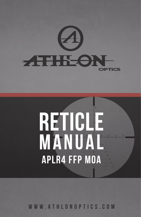

# **reticle** MANUAL **APLR4 FFP MOA**

WWW.ATHLONOPTICS.COM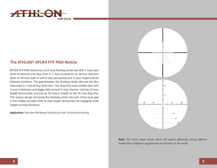

## The ATHLON® APLR4 FFP MOA Reticle

APLR4 FFP MOA reticle has a 0.2 moa floating center dot with 1 moa hash mark increments and drop lines in 5 moa increments on vertical direction down to 40 moa, both of which help you quickly lock in your target and set holdover positions. The gap between the floating center dot and the first hash mark is 1 moa at four directions. The drop lines have smaller dots with 1 moa in between and bigger dots at each 5 moa interval, starting 10 moa length horizontally and end up 50 moa in length at the 40 moa drop line. The unique design of having the floating center dot with 2moa span gap in the middle provides little to none target obstruction for engaging small targets at long distances.

*Application: Precision Mid Range Shooting for both Tactical and Hunting*



*Note: The reticle image shown above will appear differently among different models due to different magnification and location of the reticle.*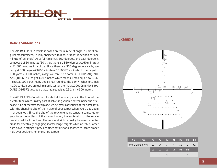

#### Reticle Subtensions

The APLR4 FFP MOA reticle is based on the minute of angle, a unit of angular measurement, usually shortened to moa. A "moa" is defined as "one minute of an angle". As a full circle has 360 degrees, and each degree is composed of 60 minutes (60'). thus there are 360 (degrees) x 60 (minutes) = 21,600 minutes in a circle. Since there are 360 degree in a circle, we can get 360 degree/21600 minutes=0.016667o/ minute. If the target is 100 yards ( 3600 inches) away, we can use a formula, 3600\*TAN(RADI-ANS (.016667 )), to get 1.047 inches which means 1 moa equals to 1.047 inches at 100 yards. Many people just round up the 1.047 inches to 1 inch @100 yards. If you are using metric system, formula 100000mm\*TAN (RA-DIANS(.01667)) gets you that 1 moa equals to 29.1mm @100 meters.

The APLR4 FFP MOA reticle is located at the focal plane in the front of the erector tube which is a key part of achieving variable power inside the riflescope. Size of the first focal plane reticle grows or shrinks at the same ratio with the changing size of the image of your target when you try to zoom in or zoom out. Since the size of the reticle remains constant compared to your target regardless of the magnification, the subtension of the reticle remains valid all the time. The reticle at 4.5x actually becomes a center cross for effectively engaging shorter range targets while at 29x or other high power settings it provides finer details for a shooter to locate proper hold over positions for long range targets.

## Example

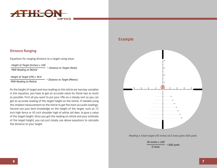

#### Distance Ranging

Equations for ranging distance to a target using moas

*Height of Target (Inches) x 100*

*MOA Reading on Reticle*

*Height of Target (CM) x 34.4 MOA Reading on Reticle = Distance to Target (Meters)*

As the height of target and moa reading on the reticle are two key variables in this equation, you have to get an accurate value for those two as mush as possible. First all you want to put your rifle on a steady rest so you can get an accurate reading of the target height on the reticle. If needed using the smallest measurement on the reticle to get the most accurate readings. Second use your best knowledge on the height of the target, such as 72 inch high fence or 45 inch shoulder high of white tail deer, to give a value of the target height. Once you got the reading on reticle and your estimate of the target height, you can just simply use above equations to calculate the distance to your target.

*= Distance to Target (Yards)*

# Example



*Reading a 3-foot target (36 inches) at 6 moas gives 600 yards*

*36 inches x 100 6 moas = 600 yards*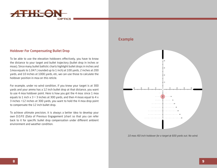

#### Holdover For Compensating Bullet Drop

To be able to use the elevation holdovers effectively, you have to know the distance to your target and bullet trajectory (bullet drop in inches or moas). Since many bullet ballistic charts highlight bullet drops in inches and 1moa equals to 1.047 ( rounded up to 1 inch) at 100 yards, 2 inches at 200 yards, and 10 inches at 1000 yards, etc, we can use those to calculate the holdover position in moa on this reticle.

For example, under no wind condition, if you knew your target is at 300 yards and your ammo has a 12 inch bullet drop at that distance, you want to use 4 moa holdover point. Here is how you got the 4 moa: since 1 moa equals to 1 inch  $x$  3 = 3 inches at 300 yards, and then 4 moas equal to 4  $x$ 3 inches =12 inches at 300 yards, you want to hold the 4 moa drop point to compensate the 12 inch bullet drop.

To achieve ultimate precision, it is always a better idea to develop your own D.O.P.E (Data of Previous Engagement )chart so that you can refer back to it for specific bullet drop compensation under different ambient environment and weather condition.

## Example



*10 moa /60 inch holdover for a target @ 600 yards out. No wind.*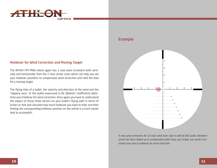

#### Holdover for Wind Correction and Moving Target

The APLR4 FFP MOA reticle again has 1 moa mark increment both vertically and horizontally from the 2 moa center cross which can help you set your holdover positions to compensate wind correction and hold the lead for a moving target.

The flying time of a bullet, the velocity and direction of the wind and the "slippery-ness" of the bullet expressed in BC (Ballistic Coefficient) determine your holdover for wind correction. Once again you have to understand the impact of those three factors on your bullet's flying path in terms of inches or mils and calculate how much holdover you have to hold, and then finding the corresponding holdover position on the reticle is a much easier task to accomplish.

## Example



*6 moa wind correction for 10 mph wind from right to left @ 600 yards. Elevation turret has been dialed up to compensate bullet drop, just simply use center horizontal cross line to holdover for wind correction*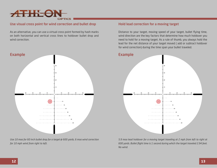

#### Use visual cross point for wind correction and bullet drop

As an alternative, you can use a virtual cross point formed by hash marks on both horizontal and vertical cross lines to holdover bullet drop and wind correction.



*Use 10 moa for 60 inch bullet drop for a target @ 600 yards, 6 moa wind correction for 10 mph wind from right to left.*

#### Hold lead correction for a moving target

Distance to your target, moving speed of your target, bullet flying time, wind direction are the key factors that determine how much holdover you need to hold for a moving target. As a rule of thumb, you always hold the lead for the net distance of your target moved ( add or subtract holdover for wind correction) during the time span your bullet traveled.



*5.9 moa lead holdover for a moving target traveling at 2 mph from left to right at 600 yards. Bullet flight time is 1 second during which the target traveled 2.94 feet. No wind.*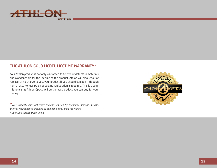

# THE ATHLON GOLD MEDEL LIFETIME WARRANTY\*

Your Athlon product is not only warranted to be free of defects in materials and workmanship for the lifetime of the product. Athlon will also repair or replace, at no charge to you, your product if you should damage it through normal use. No receipt is needed, no registration is required. This is a commitment that Athlon Optics will be the best product you can buy for your money.

\**This warranty does not cover damages caused by deliberate damage, misuse, theft or maintenance provided by someone other than the Athlon Authorized Service Department.*